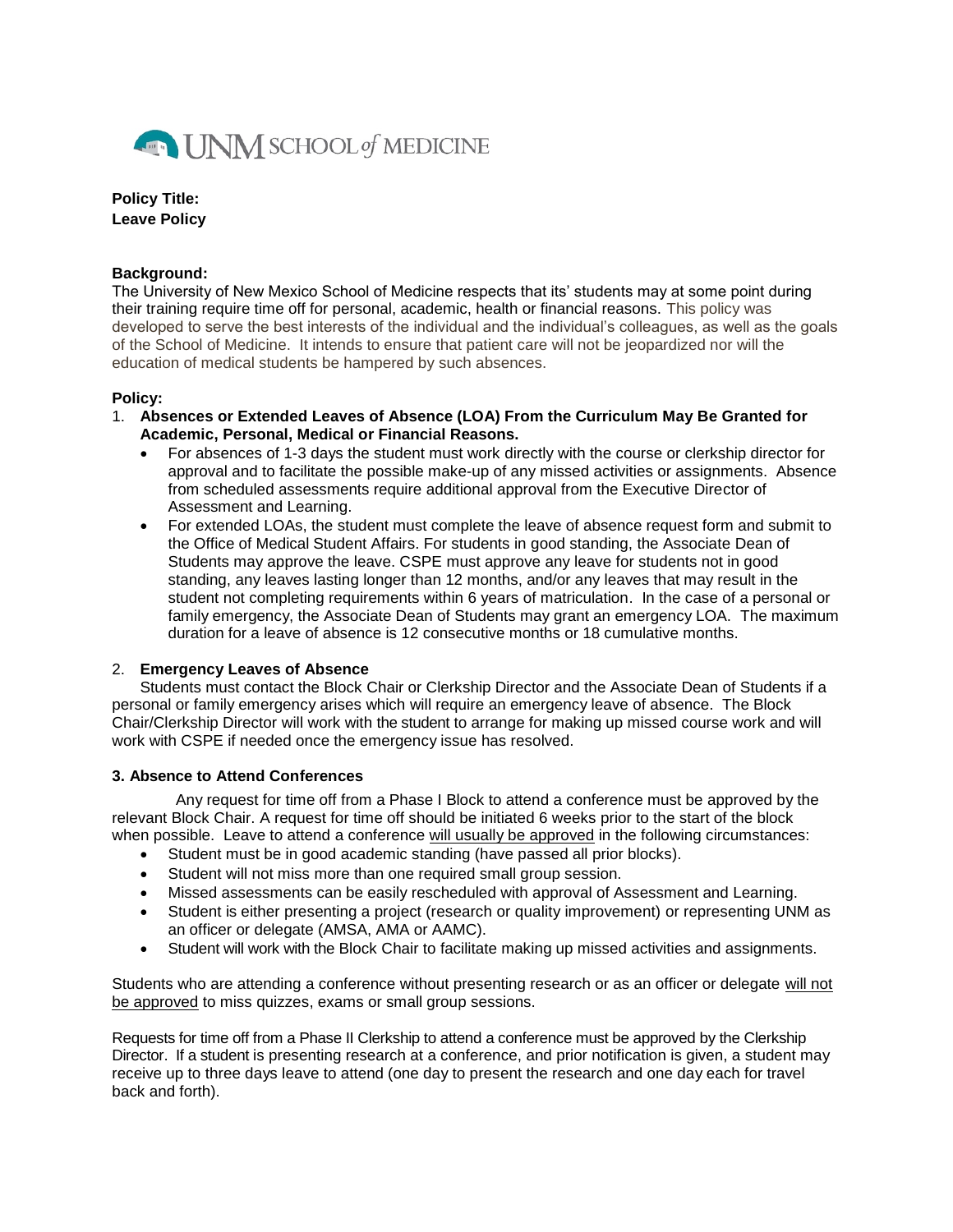

**Policy Title: Leave Policy**

### **Background:**

The University of New Mexico School of Medicine respects that its' students may at some point during their training require time off for personal, academic, health or financial reasons. This policy was developed to serve the best interests of the individual and the individual's colleagues, as well as the goals of the School of Medicine. It intends to ensure that patient care will not be jeopardized nor will the education of medical students be hampered by such absences.

## **Policy:**

- 1. **Absences or Extended Leaves of Absence (LOA) From the Curriculum May Be Granted for Academic, Personal, Medical or Financial Reasons.** 
	- For absences of 1-3 days the student must work directly with the course or clerkship director for approval and to facilitate the possible make-up of any missed activities or assignments. Absence from scheduled assessments require additional approval from the Executive Director of Assessment and Learning.
	- For extended LOAs, the student must complete the leave of absence request form and submit to the Office of Medical Student Affairs. For students in good standing, the Associate Dean of Students may approve the leave. CSPE must approve any leave for students not in good standing, any leaves lasting longer than 12 months, and/or any leaves that may result in the student not completing requirements within 6 years of matriculation. In the case of a personal or family emergency, the Associate Dean of Students may grant an emergency LOA. The maximum duration for a leave of absence is 12 consecutive months or 18 cumulative months.

### 2. **Emergency Leaves of Absence**

Students must contact the Block Chair or Clerkship Director and the Associate Dean of Students if a personal or family emergency arises which will require an emergency leave of absence. The Block Chair/Clerkship Director will work with the student to arrange for making up missed course work and will work with CSPE if needed once the emergency issue has resolved.

### **3. Absence to Attend Conferences**

Any request for time off from a Phase I Block to attend a conference must be approved by the relevant Block Chair. A request for time off should be initiated 6 weeks prior to the start of the block when possible. Leave to attend a conference will usually be approved in the following circumstances:

- Student must be in good academic standing (have passed all prior blocks).
- Student will not miss more than one required small group session.
- Missed assessments can be easily rescheduled with approval of Assessment and Learning.
- Student is either presenting a project (research or quality improvement) or representing UNM as an officer or delegate (AMSA, AMA or AAMC).
- Student will work with the Block Chair to facilitate making up missed activities and assignments.

Students who are attending a conference without presenting research or as an officer or delegate will not be approved to miss quizzes, exams or small group sessions.

Requests for time off from a Phase II Clerkship to attend a conference must be approved by the Clerkship Director. If a student is presenting research at a conference, and prior notification is given, a student may receive up to three days leave to attend (one day to present the research and one day each for travel back and forth).